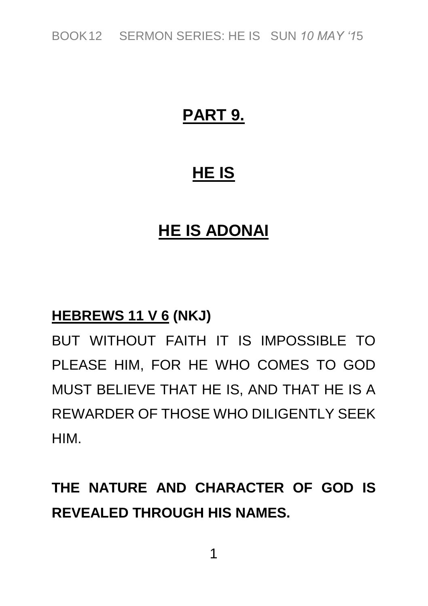*BOOK12 SERMON SERIES: HE IS SUN 10 MAY '15*

## **PART 9.**

### **HE IS**

### **HE IS ADONAI**

#### **HEBREWS 11 V 6 (NKJ)**

*BUT WITHOUT FAITH IT IS IMPOSSIBLE TO PLEASE HIM, FOR HE WHO COMES TO GOD MUST BELIEVE THAT HE IS, AND THAT HE IS A REWARDER OF THOSE WHO DILIGENTLY SEEK HIM.*

# **THE NATURE AND CHARACTER OF GOD IS REVEALED THROUGH HIS NAMES.**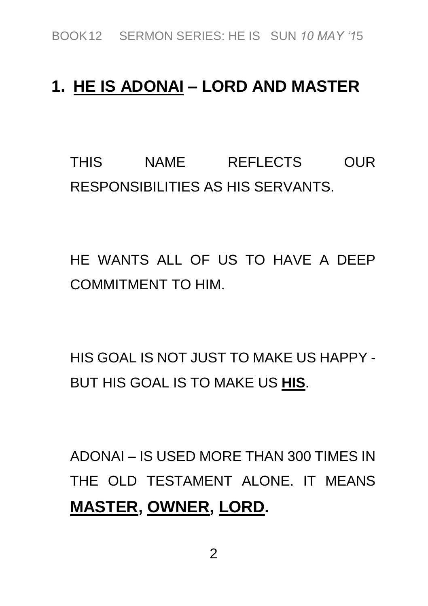### **1. HE IS ADONAI – LORD AND MASTER**

*THIS NAME REFLECTS OUR RESPONSIBILITIES AS HIS SERVANTS.* 

*HE WANTS ALL OF US TO HAVE A DEEP COMMITMENT TO HIM.*

*HIS GOAL IS NOT JUST TO MAKE US HAPPY - BUT HIS GOAL IS TO MAKE US* **HIS***.*

*ADONAI – IS USED MORE THAN 300 TIMES IN THE OLD TESTAMENT ALONE. IT MEANS*  **MASTER, OWNER, LORD.**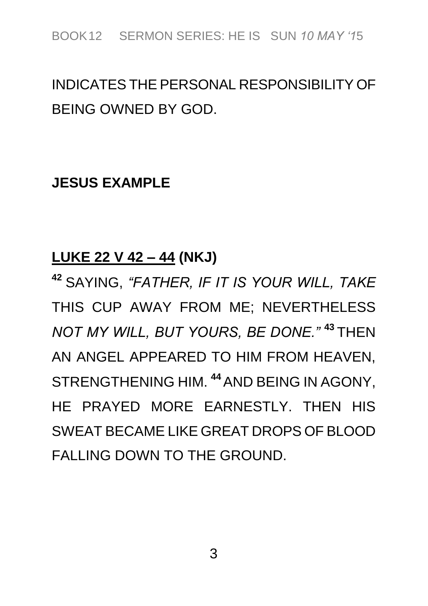## *INDICATES THE PERSONAL RESPONSIBILITY OF BEING OWNED BY GOD.*

#### **JESUS EXAMPLE**

#### **LUKE 22 V 42 – 44 (NKJ)**

**<sup>42</sup>** *SAYING, "FATHER, IF IT IS YOUR WILL, TAKE THIS CUP AWAY FROM ME; NEVERTHELESS NOT MY WILL, BUT YOURS, BE DONE."* **<sup>43</sup>** *THEN AN ANGEL APPEARED TO HIM FROM HEAVEN, STRENGTHENING HIM.* **<sup>44</sup>***AND BEING IN AGONY, HE PRAYED MORE EARNESTLY. THEN HIS SWEAT BECAME LIKE GREAT DROPS OF BLOOD FALLING DOWN TO THE GROUND.*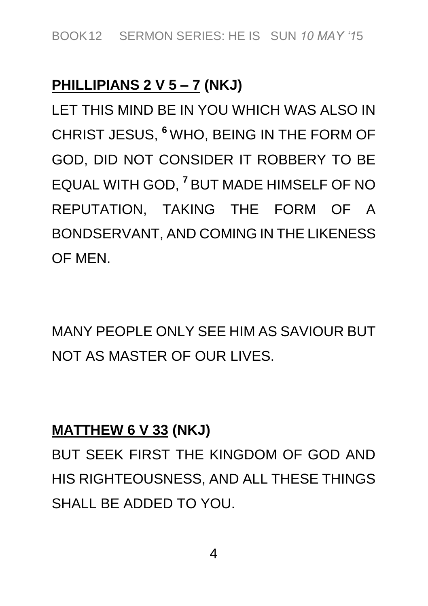### **PHILLIPIANS 2 V 5 – 7 (NKJ)**

*LET THIS MIND BE IN YOU WHICH WAS ALSO IN CHRIST JESUS,* **<sup>6</sup>** *WHO, BEING IN THE FORM OF GOD, DID NOT CONSIDER IT ROBBERY TO BE EQUAL WITH GOD,* **<sup>7</sup>** *BUT MADE HIMSELF OF NO REPUTATION, TAKING THE FORM OF A BONDSERVANT, AND COMING IN THE LIKENESS OF MEN.*

*MANY PEOPLE ONLY SEE HIM AS SAVIOUR BUT NOT AS MASTER OF OUR LIVES.*

#### **MATTHEW 6 V 33 (NKJ)**

*BUT SEEK FIRST THE KINGDOM OF GOD AND HIS RIGHTEOUSNESS, AND ALL THESE THINGS SHALL BE ADDED TO YOU.*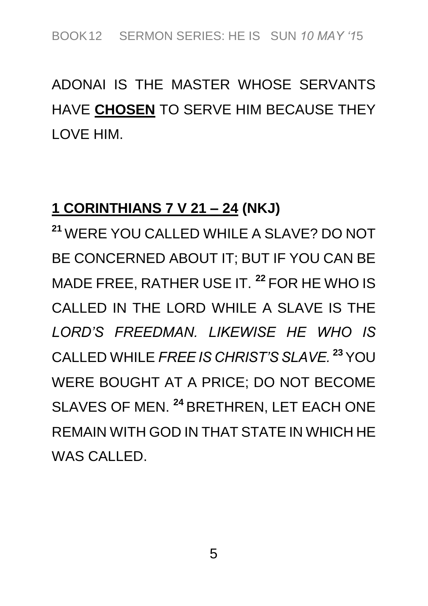# *ADONAI IS THE MASTER WHOSE SERVANTS HAVE* **CHOSEN** *TO SERVE HIM BECAUSE THEY LOVE HIM.*

#### **1 CORINTHIANS 7 V 21 – 24 (NKJ)**

**<sup>21</sup>** *WERE YOU CALLED WHILE A SLAVE? DO NOT BE CONCERNED ABOUT IT; BUT IF YOU CAN BE MADE FREE, RATHER USE IT.* **<sup>22</sup>** *FOR HE WHO IS CALLED IN THE LORD WHILE A SLAVE IS THE LORD'S FREEDMAN. LIKEWISE HE WHO IS CALLED WHILE FREE IS CHRIST'S SLAVE.* **<sup>23</sup>***YOU WERE BOUGHT AT A PRICE; DO NOT BECOME SLAVES OF MEN.* **<sup>24</sup>** *BRETHREN, LET EACH ONE REMAIN WITH GOD IN THAT STATE IN WHICH HE WAS CALLED.*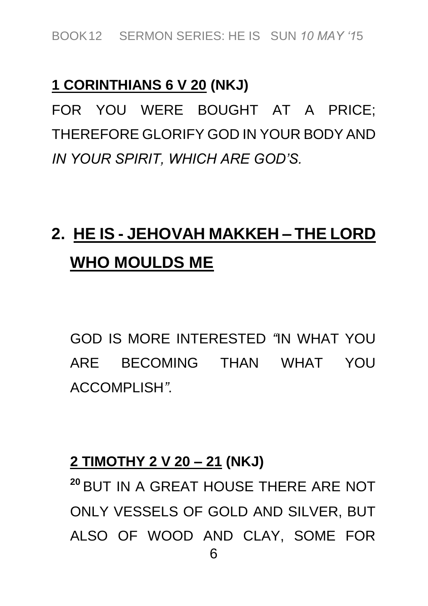#### **1 CORINTHIANS 6 V 20 (NKJ)**

*FOR YOU WERE BOUGHT AT A PRICE; THEREFORE GLORIFY GOD IN YOUR BODY AND IN YOUR SPIRIT, WHICH ARE GOD'S.*

# **2. HE IS - JEHOVAH MAKKEH – THE LORD WHO MOULDS ME**

*GOD IS MORE INTERESTED "IN WHAT YOU ARE BECOMING THAN WHAT YOU ACCOMPLISH".*

#### **2 TIMOTHY 2 V 20 – 21 (NKJ)**

*6* **<sup>20</sup>** *BUT IN A GREAT HOUSE THERE ARE NOT ONLY VESSELS OF GOLD AND SILVER, BUT ALSO OF WOOD AND CLAY, SOME FOR*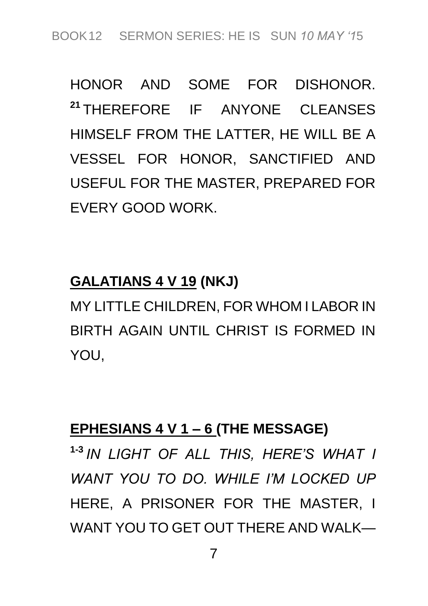*HONOR AND SOME FOR DISHONOR.* **<sup>21</sup>** *THEREFORE IF ANYONE CLEANSES HIMSELF FROM THE LATTER, HE WILL BE A VESSEL FOR HONOR, SANCTIFIED AND USEFUL FOR THE MASTER, PREPARED FOR EVERY GOOD WORK.*

### **GALATIANS 4 V 19 (NKJ)**

*MY LITTLE CHILDREN, FOR WHOM I LABOR IN BIRTH AGAIN UNTIL CHRIST IS FORMED IN YOU,*

#### **EPHESIANS 4 V 1 – 6 (THE MESSAGE)**

**1-3** *IN LIGHT OF ALL THIS, HERE'S WHAT I WANT YOU TO DO. WHILE I'M LOCKED UP HERE, A PRISONER FOR THE MASTER, I WANT YOU TO GET OUT THERE AND WALK—*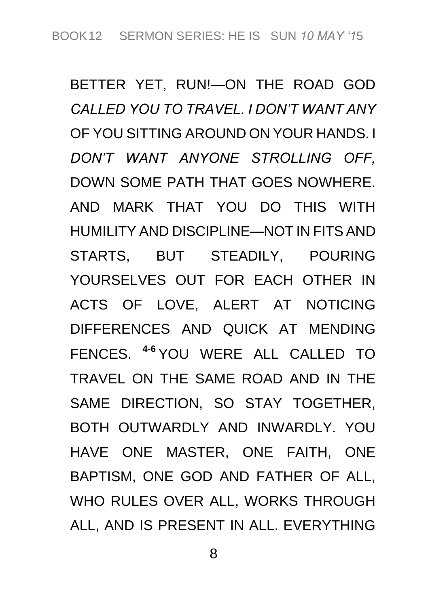*BETTER YET, RUN!—ON THE ROAD GOD CALLED YOU TO TRAVEL. I DON'T WANT ANY OF YOU SITTING AROUND ON YOUR HANDS. I DON'T WANT ANYONE STROLLING OFF, DOWN SOME PATH THAT GOES NOWHERE. AND MARK THAT YOU DO THIS WITH HUMILITY AND DISCIPLINE—NOT IN FITS AND STARTS, BUT STEADILY, POURING YOURSELVES OUT FOR EACH OTHER IN ACTS OF LOVE, ALERT AT NOTICING DIFFERENCES AND QUICK AT MENDING FENCES.* **4-6** *YOU WERE ALL CALLED TO TRAVEL ON THE SAME ROAD AND IN THE SAME DIRECTION, SO STAY TOGETHER, BOTH OUTWARDLY AND INWARDLY. YOU HAVE ONE MASTER, ONE FAITH, ONE BAPTISM, ONE GOD AND FATHER OF ALL, WHO RULES OVER ALL, WORKS THROUGH ALL, AND IS PRESENT IN ALL. EVERYTHING*